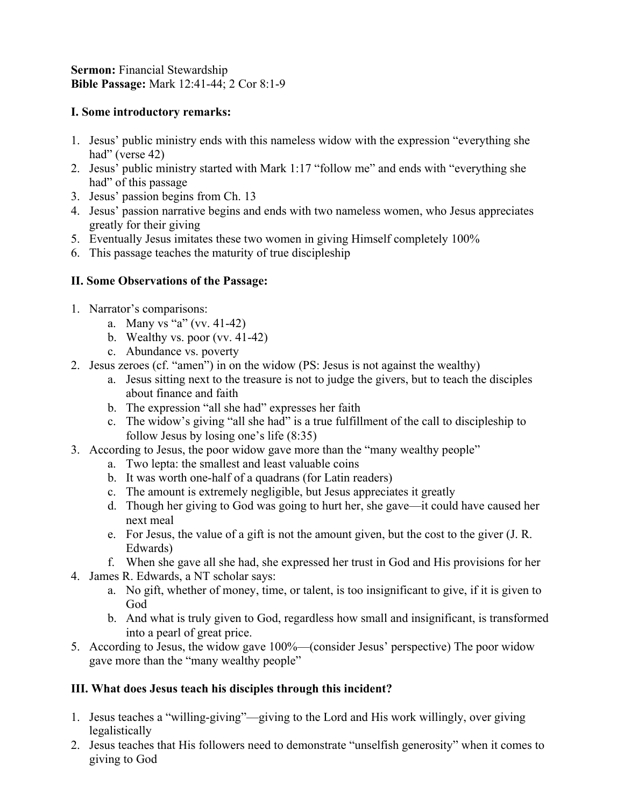**Sermon:** Financial Stewardship **Bible Passage:** Mark 12:41-44; 2 Cor 8:1-9

### **I. Some introductory remarks:**

- 1. Jesus' public ministry ends with this nameless widow with the expression "everything she had" (verse 42)
- 2. Jesus' public ministry started with Mark 1:17 "follow me" and ends with "everything she had" of this passage
- 3. Jesus' passion begins from Ch. 13
- 4. Jesus' passion narrative begins and ends with two nameless women, who Jesus appreciates greatly for their giving
- 5. Eventually Jesus imitates these two women in giving Himself completely 100%
- 6. This passage teaches the maturity of true discipleship

## **II. Some Observations of the Passage:**

- 1. Narrator's comparisons:
	- a. Many vs "a" (vv. 41-42)
	- b. Wealthy vs. poor (vv. 41-42)
	- c. Abundance vs. poverty
- 2. Jesus zeroes (cf. "amen") in on the widow (PS: Jesus is not against the wealthy)
	- a. Jesus sitting next to the treasure is not to judge the givers, but to teach the disciples about finance and faith
	- b. The expression "all she had" expresses her faith
	- c. The widow's giving "all she had" is a true fulfillment of the call to discipleship to follow Jesus by losing one's life (8:35)
- 3. According to Jesus, the poor widow gave more than the "many wealthy people"
	- a. Two lepta: the smallest and least valuable coins
	- b. It was worth one-half of a quadrans (for Latin readers)
	- c. The amount is extremely negligible, but Jesus appreciates it greatly
	- d. Though her giving to God was going to hurt her, she gave—it could have caused her next meal
	- e. For Jesus, the value of a gift is not the amount given, but the cost to the giver (J. R. Edwards)
	- f. When she gave all she had, she expressed her trust in God and His provisions for her
- 4. James R. Edwards, a NT scholar says:
	- a. No gift, whether of money, time, or talent, is too insignificant to give, if it is given to God
	- b. And what is truly given to God, regardless how small and insignificant, is transformed into a pearl of great price.
- 5. According to Jesus, the widow gave 100%—(consider Jesus' perspective) The poor widow gave more than the "many wealthy people"

## **III. What does Jesus teach his disciples through this incident?**

- 1. Jesus teaches a "willing-giving"—giving to the Lord and His work willingly, over giving legalistically
- 2. Jesus teaches that His followers need to demonstrate "unselfish generosity" when it comes to giving to God